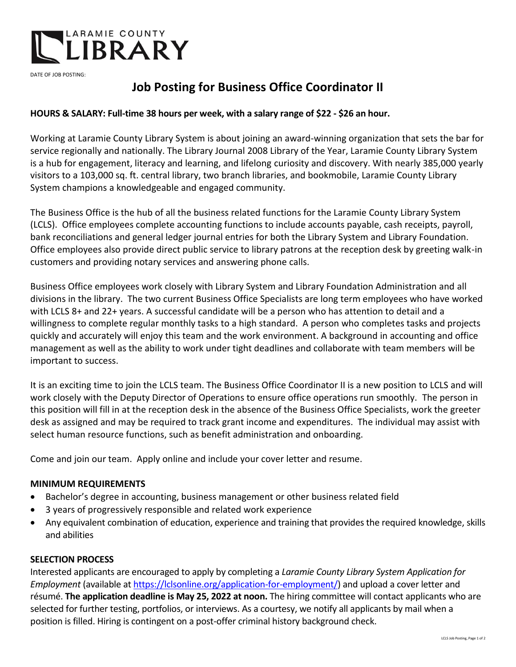

DATE OF JOB POSTING:

# **Job Posting for Business Office Coordinator II**

## **HOURS & SALARY: Full-time 38 hours per week, with a salary range of \$22 - \$26 an hour.**

Working at Laramie County Library System is about joining an award-winning organization that sets the bar for service regionally and nationally. The Library Journal 2008 Library of the Year, Laramie County Library System is a hub for engagement, literacy and learning, and lifelong curiosity and discovery. With nearly 385,000 yearly visitors to a 103,000 sq. ft. central library, two branch libraries, and bookmobile, Laramie County Library System champions a knowledgeable and engaged community.

The Business Office is the hub of all the business related functions for the Laramie County Library System (LCLS). Office employees complete accounting functions to include accounts payable, cash receipts, payroll, bank reconciliations and general ledger journal entries for both the Library System and Library Foundation. Office employees also provide direct public service to library patrons at the reception desk by greeting walk-in customers and providing notary services and answering phone calls.

Business Office employees work closely with Library System and Library Foundation Administration and all divisions in the library. The two current Business Office Specialists are long term employees who have worked with LCLS 8+ and 22+ years. A successful candidate will be a person who has attention to detail and a willingness to complete regular monthly tasks to a high standard. A person who completes tasks and projects quickly and accurately will enjoy this team and the work environment. A background in accounting and office management as well as the ability to work under tight deadlines and collaborate with team members will be important to success.

It is an exciting time to join the LCLS team. The Business Office Coordinator II is a new position to LCLS and will work closely with the Deputy Director of Operations to ensure office operations run smoothly. The person in this position will fill in at the reception desk in the absence of the Business Office Specialists, work the greeter desk as assigned and may be required to track grant income and expenditures. The individual may assist with select human resource functions, such as benefit administration and onboarding.

Come and join our team. Apply online and include your cover letter and resume.

#### **MINIMUM REQUIREMENTS**

- Bachelor's degree in accounting, business management or other business related field
- 3 years of progressively responsible and related work experience
- Any equivalent combination of education, experience and training that provides the required knowledge, skills and abilities

#### **SELECTION PROCESS**

Interested applicants are encouraged to apply by completing a *Laramie County Library System Application for Employment* (available at [https://lclsonline.org/application-for-employment/\)](https://lclsonline.org/application-for-employment/) and upload a cover letter and résumé. **The application deadline is May 25, 2022 at noon.** The hiring committee will contact applicants who are selected for further testing, portfolios, or interviews. As a courtesy, we notify all applicants by mail when a position is filled. Hiring is contingent on a post-offer criminal history background check.